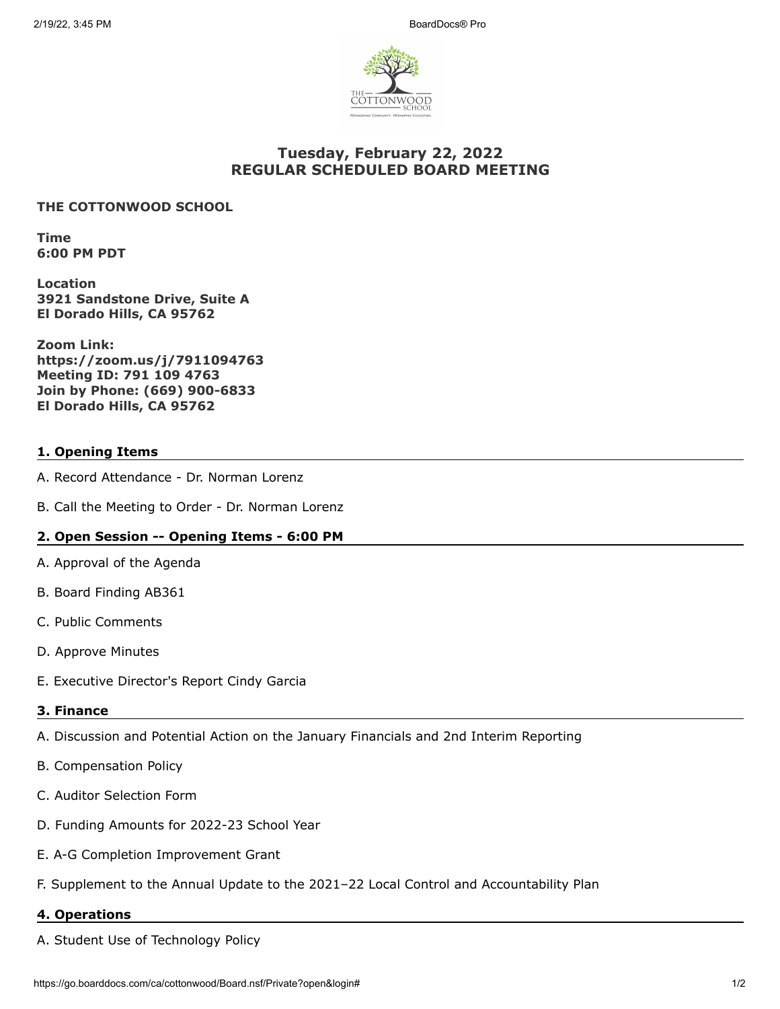

# **Tuesday, February 22, 2022 REGULAR SCHEDULED BOARD MEETING**

### **THE COTTONWOOD SCHOOL**

**Time 6:00 PM PDT**

**Location 3921 Sandstone Drive, Suite A El Dorado Hills, CA 95762**

**Zoom Link: https://zoom.us/j/7911094763 Meeting ID: 791 109 4763 Join by Phone: (669) 900-6833 El Dorado Hills, CA 95762**

## **1. Opening Items**

- A. Record Attendance Dr. Norman Lorenz
- B. Call the Meeting to Order Dr. Norman Lorenz

### **2. Open Session -- Opening Items - 6:00 PM**

- A. Approval of the Agenda
- B. Board Finding AB361
- C. Public Comments
- D. Approve Minutes
- E. Executive Director's Report Cindy Garcia

# **3. Finance**

- A. Discussion and Potential Action on the January Financials and 2nd Interim Reporting
- B. Compensation Policy
- C. Auditor Selection Form
- D. Funding Amounts for 2022-23 School Year
- E. A-G Completion Improvement Grant
- F. Supplement to the Annual Update to the 2021–22 Local Control and Accountability Plan

#### **4. Operations**

A. Student Use of Technology Policy